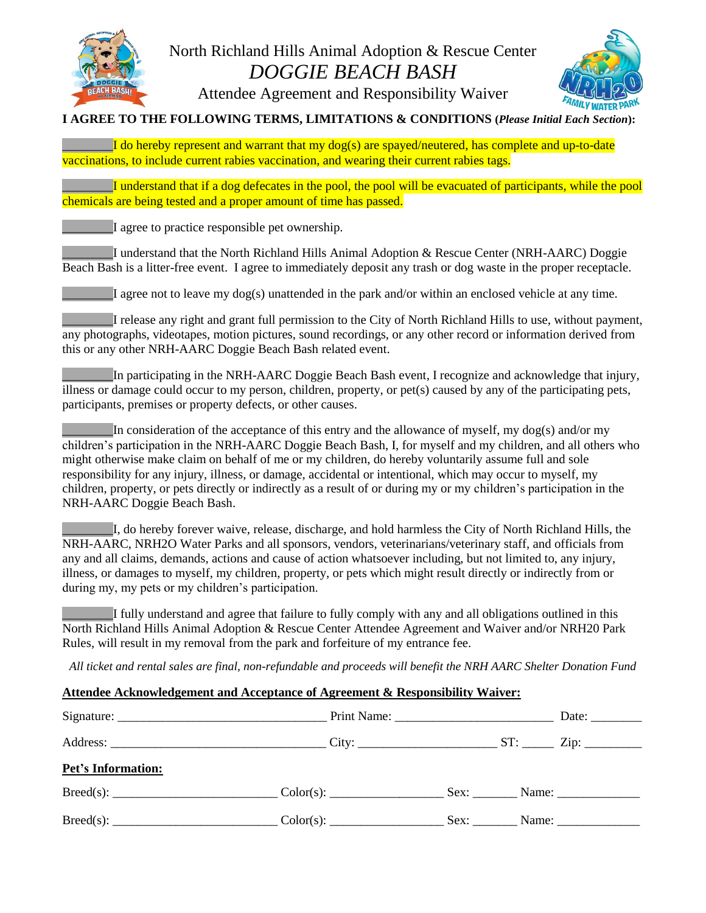

## North Richland Hills Animal Adoption & Rescue Center *DOGGIE BEACH BASH*

Attendee Agreement and Responsibility Waiver



## **I AGREE TO THE FOLLOWING TERMS, LIMITATIONS & CONDITIONS (***Please Initial Each Section***):**

I do hereby represent and warrant that my  $dog(s)$  are spayed/neutered, has complete and up-to-date vaccinations, to include current rabies vaccination, and wearing their current rabies tags.

\_\_\_\_\_\_\_\_I understand that if a dog defecates in the pool, the pool will be evacuated of participants, while the pool chemicals are being tested and a proper amount of time has passed.

I agree to practice responsible pet ownership.

\_\_\_\_\_\_\_\_I understand that the North Richland Hills Animal Adoption & Rescue Center (NRH-AARC) Doggie Beach Bash is a litter-free event. I agree to immediately deposit any trash or dog waste in the proper receptacle.

I agree not to leave my dog(s) unattended in the park and/or within an enclosed vehicle at any time.

\_\_\_\_\_\_\_\_I release any right and grant full permission to the City of North Richland Hills to use, without payment, any photographs, videotapes, motion pictures, sound recordings, or any other record or information derived from this or any other NRH-AARC Doggie Beach Bash related event.

In participating in the NRH-AARC Doggie Beach Bash event, I recognize and acknowledge that injury, illness or damage could occur to my person, children, property, or pet(s) caused by any of the participating pets, participants, premises or property defects, or other causes.

In consideration of the acceptance of this entry and the allowance of myself, my dog(s) and/or my children's participation in the NRH-AARC Doggie Beach Bash, I, for myself and my children, and all others who might otherwise make claim on behalf of me or my children, do hereby voluntarily assume full and sole responsibility for any injury, illness, or damage, accidental or intentional, which may occur to myself, my children, property, or pets directly or indirectly as a result of or during my or my children's participation in the NRH-AARC Doggie Beach Bash.

\_\_\_\_\_\_\_\_I, do hereby forever waive, release, discharge, and hold harmless the City of North Richland Hills, the NRH-AARC, NRH2O Water Parks and all sponsors, vendors, veterinarians/veterinary staff, and officials from any and all claims, demands, actions and cause of action whatsoever including, but not limited to, any injury, illness, or damages to myself, my children, property, or pets which might result directly or indirectly from or during my, my pets or my children's participation.

\_\_\_\_\_\_\_\_I fully understand and agree that failure to fully comply with any and all obligations outlined in this North Richland Hills Animal Adoption & Rescue Center Attendee Agreement and Waiver and/or NRH20 Park Rules, will result in my removal from the park and forfeiture of my entrance fee.

*All ticket and rental sales are final, non-refundable and proceeds will benefit the NRH AARC Shelter Donation Fund*

## **Attendee Acknowledgement and Acceptance of Agreement & Responsibility Waiver:**

|                    |  | Date: $\_\_$ |
|--------------------|--|--------------|
|                    |  |              |
| Pet's Information: |  |              |
|                    |  | $Sex:$ Name: |
|                    |  | Sex: Name:   |